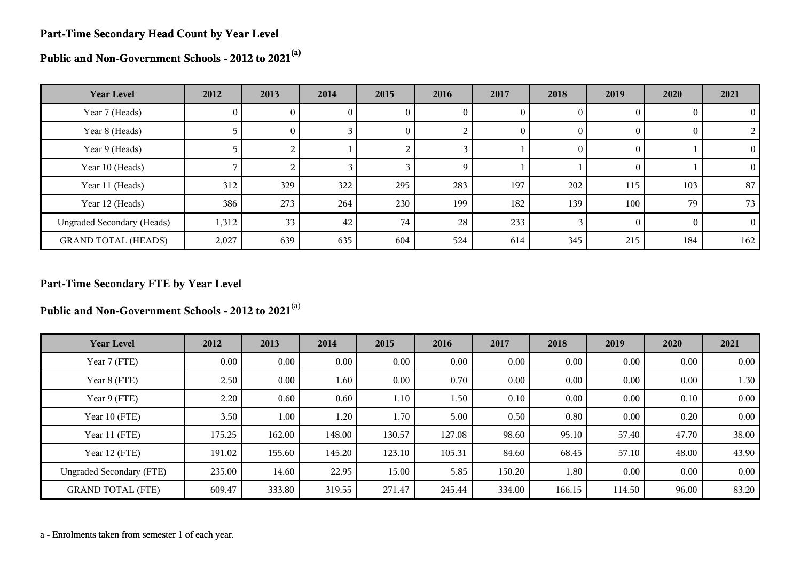#### **Part-Time Secondary Head Count by Year Level**

**Public and Non-Government Schools - 2012 to 2021(a)**

| <b>Year Level</b>                 | 2012  | 2013     | 2014 | 2015     | 2016 | 2017     | 2018           | 2019     | 2020 | 2021     |
|-----------------------------------|-------|----------|------|----------|------|----------|----------------|----------|------|----------|
| Year 7 (Heads)                    | 0     | U.       | U.   | v        | U    | U        | $\theta$       |          |      | $\theta$ |
| Year 8 (Heads)                    |       | $\theta$ |      | $\theta$ |      | $\Omega$ | $\theta$       | O        |      | 2        |
| Year 9 (Heads)                    |       | 2        |      |          |      |          | $\overline{0}$ | $\theta$ |      | $\Omega$ |
| Year 10 (Heads)                   |       |          |      |          | 9    |          |                | $_{0}$   |      | $\Omega$ |
| Year 11 (Heads)                   | 312   | 329      | 322  | 295      | 283  | 197      | 202            | 115      | 103  | 87       |
| Year 12 (Heads)                   | 386   | 273      | 264  | 230      | 199  | 182      | 139            | 100      | 79   | 73       |
| <b>Ungraded Secondary (Heads)</b> | 1,312 | 33       | 42   | 74       | 28   | 233      |                | $\theta$ |      | $\Omega$ |
| <b>GRAND TOTAL (HEADS)</b>        | 2,027 | 639      | 635  | 604      | 524  | 614      | 345            | 215      | 184  | 162      |

# **Part-Time Secondary FTE by Year Level**

**Public and Non-Government Schools - 2012 to 2021**(a)

| <b>Year Level</b>               | 2012     | 2013   | 2014   | 2015     | 2016   | 2017   | 2018   | 2019   | 2020  | 2021     |
|---------------------------------|----------|--------|--------|----------|--------|--------|--------|--------|-------|----------|
| Year 7 (FTE)                    | $0.00\,$ | 0.00   | 0.00   | $0.00\,$ | 0.00   | 0.00   | 0.00   | 0.00   | 0.00  | $0.00\,$ |
| Year 8 (FTE)                    | 2.50     | 0.00   | 1.60   | $0.00\,$ | 0.70   | 0.00   | 0.00   | 0.00   | 0.00  | 1.30     |
| Year 9 (FTE)                    | 2.20     | 0.60   | 0.60   | 1.10     | 1.50   | 0.10   | 0.00   | 0.00   | 0.10  | 0.00     |
| Year 10 (FTE)                   | 3.50     | 1.00   | 1.20   | 1.70     | 5.00   | 0.50   | 0.80   | 0.00   | 0.20  | $0.00\,$ |
| Year 11 (FTE)                   | 175.25   | 162.00 | 148.00 | 130.57   | 127.08 | 98.60  | 95.10  | 57.40  | 47.70 | 38.00    |
| Year 12 (FTE)                   | 191.02   | 155.60 | 145.20 | 123.10   | 105.31 | 84.60  | 68.45  | 57.10  | 48.00 | 43.90    |
| <b>Ungraded Secondary (FTE)</b> | 235.00   | 14.60  | 22.95  | 15.00    | 5.85   | 150.20 | 1.80   | 0.00   | 0.00  | 0.00     |
| <b>GRAND TOTAL (FTE)</b>        | 609.47   | 333.80 | 319.55 | 271.47   | 245.44 | 334.00 | 166.15 | 114.50 | 96.00 | 83.20    |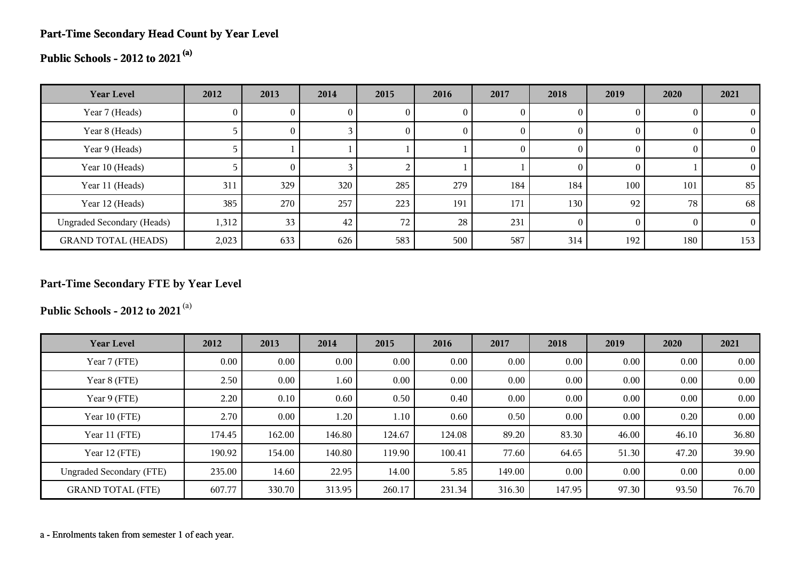# **Part-Time Secondary Head Count by Year Level**

# **Public Schools - 2012 to 2021(a)**

| <b>Year Level</b>                 | 2012  | 2013 | 2014         | 2015            | 2016 | 2017         | 2018 | 2019     | 2020     | 2021     |
|-----------------------------------|-------|------|--------------|-----------------|------|--------------|------|----------|----------|----------|
| Year 7 (Heads)                    | O.    |      | $\mathbf{0}$ |                 |      | $\mathbf{0}$ |      | $\theta$ |          | $_{0}$   |
| Year 8 (Heads)                    |       | U.   |              | U               |      | $\theta$     |      | $\bf{0}$ |          |          |
| Year 9 (Heads)                    |       |      |              |                 |      | $\mathbf{0}$ |      | $\theta$ |          | 0        |
| Year 10 (Heads)                   |       | 0    |              |                 |      |              |      | $\theta$ |          | $_{0}$   |
| Year 11 (Heads)                   | 311   | 329  | 320          | 285             | 279  | 184          | 184  | 100      | 101      | 85       |
| Year 12 (Heads)                   | 385   | 270  | 257          | 223             | 191  | 171          | 130  | 92       | 78       | 68       |
| <b>Ungraded Secondary (Heads)</b> | 1,312 | 33   | 42           | 72 <sub>1</sub> | 28   | 231          |      | $\Omega$ | $\Omega$ | $\Omega$ |
| <b>GRAND TOTAL (HEADS)</b>        | 2,023 | 633  | 626          | 583             | 500  | 587          | 314  | 192      | 180      | 153      |

# **Part-Time Secondary FTE by Year Level**

**Public Schools - 2012 to 2021**(a)

| <b>Year Level</b>               | 2012     | 2013     | 2014   | 2015     | 2016   | 2017   | 2018     | 2019     | 2020  | 2021  |
|---------------------------------|----------|----------|--------|----------|--------|--------|----------|----------|-------|-------|
| Year 7 (FTE)                    | $0.00\,$ | $0.00\,$ | 0.00   | $0.00\,$ | 0.00   | 0.00   | $0.00\,$ | 0.00     | 0.00  | 0.00  |
| Year 8 (FTE)                    | 2.50     | $0.00\,$ | 1.60   | $0.00\,$ | 0.00   | 0.00   | 0.00     | $0.00\,$ | 0.00  | 0.00  |
| Year 9 (FTE)                    | 2.20     | 0.10     | 0.60   | 0.50     | 0.40   | 0.00   | 0.00     | $0.00\,$ | 0.00  | 0.00  |
| Year 10 (FTE)                   | 2.70     | $0.00\,$ | 1.20   | 1.10     | 0.60   | 0.50   | 0.00     | 0.00     | 0.20  | 0.00  |
| Year 11 (FTE)                   | 174.45   | 162.00   | 146.80 | 124.67   | 124.08 | 89.20  | 83.30    | 46.00    | 46.10 | 36.80 |
| Year 12 (FTE)                   | 190.92   | 154.00   | 140.80 | 119.90   | 100.41 | 77.60  | 64.65    | 51.30    | 47.20 | 39.90 |
| <b>Ungraded Secondary (FTE)</b> | 235.00   | 14.60    | 22.95  | 14.00    | 5.85   | 149.00 | 0.00     | 0.00     | 0.00  | 0.00  |
| <b>GRAND TOTAL (FTE)</b>        | 607.77   | 330.70   | 313.95 | 260.17   | 231.34 | 316.30 | 147.95   | 97.30    | 93.50 | 76.70 |

a - Enrolments taken from semester 1 of each year.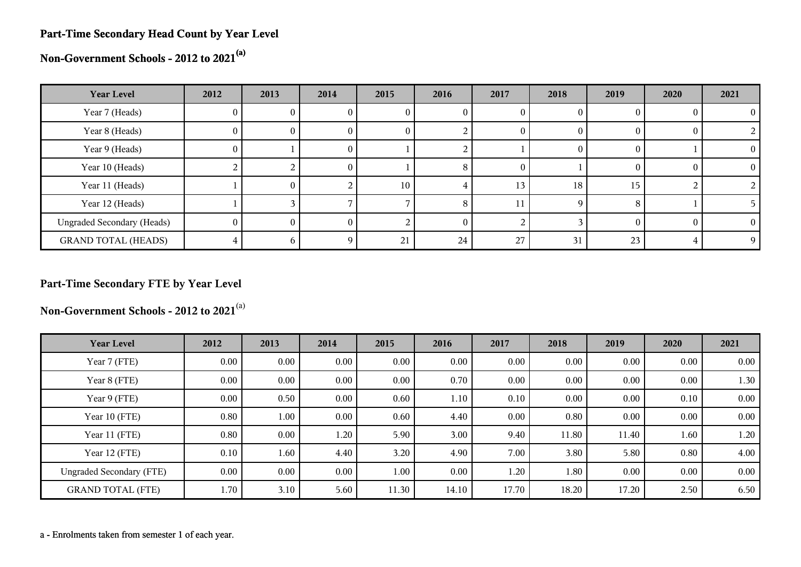#### **Part-Time Secondary Head Count by Year Level**

**Non-Government Schools - 2012 to 2021(a)**

| <b>Year Level</b>                 | 2012         | 2013 | 2014 | 2015         | 2016 | 2017 | 2018     | 2019 | 2020     | 2021 |
|-----------------------------------|--------------|------|------|--------------|------|------|----------|------|----------|------|
| Year 7 (Heads)                    | 0.           |      |      | U            |      |      |          |      |          |      |
| Year 8 (Heads)                    | $\mathbf{0}$ | 0.   | U    | $\mathbf{0}$ |      |      | $\theta$ |      | $\bf{0}$ |      |
| Year 9 (Heads)                    | $\theta$     |      | U    |              |      |      | $_{0}$   |      |          |      |
| Year 10 (Heads)                   |              |      | 0    |              | റ    |      |          |      | $\theta$ |      |
| Year 11 (Heads)                   |              | 0.   |      | 10           |      | 13   | 18       | 15   |          |      |
| Year 12 (Heads)                   |              |      |      |              |      |      | Q        |      |          |      |
| <b>Ungraded Secondary (Heads)</b> | 0            |      |      |              |      |      |          |      | 0        |      |
| <b>GRAND TOTAL (HEADS)</b>        |              |      | Ω    | 21           | 24   | 27   | 31       | 23   |          |      |

# **Part-Time Secondary FTE by Year Level**

**Non-Government Schools - 2012 to 2021**(a)

| <b>Year Level</b>               | 2012     | 2013     | 2014     | 2015     | 2016     | 2017  | 2018  | 2019     | 2020     | 2021 |
|---------------------------------|----------|----------|----------|----------|----------|-------|-------|----------|----------|------|
| Year 7 (FTE)                    | 0.00     | $0.00\,$ | 0.00     | 0.00     | 0.00     | 0.00  | 0.00  | $0.00\,$ | $0.00\,$ | 0.00 |
| Year 8 (FTE)                    | 0.00     | $0.00\,$ | 0.00     | 0.00     | 0.70     | 0.00  | 0.00  | $0.00\,$ | 0.00     | 1.30 |
| Year 9 (FTE)                    | $0.00\,$ | 0.50     | $0.00\,$ | 0.60     | 1.10     | 0.10  | 0.00  | $0.00\,$ | 0.10     | 0.00 |
| Year 10 (FTE)                   | 0.80     | 1.00     | 0.00     | 0.60     | 4.40     | 0.00  | 0.80  | 0.00     | 0.00     | 0.00 |
| Year 11 (FTE)                   | 0.80     | $0.00\,$ | 1.20     | 5.90     | 3.00     | 9.40  | 11.80 | 11.40    | 1.60     | 1.20 |
| Year 12 (FTE)                   | 0.10     | 1.60     | 4.40     | 3.20     | 4.90     | 7.00  | 3.80  | 5.80     | 0.80     | 4.00 |
| <b>Ungraded Secondary (FTE)</b> | 0.00     | $0.00\,$ | $0.00\,$ | $1.00\,$ | $0.00\,$ | 1.20  | 1.80  | $0.00\,$ | $0.00\,$ | 0.00 |
| <b>GRAND TOTAL (FTE)</b>        | 1.70     | 3.10     | 5.60     | 11.30    | 14.10    | 17.70 | 18.20 | 17.20    | 2.50     | 6.50 |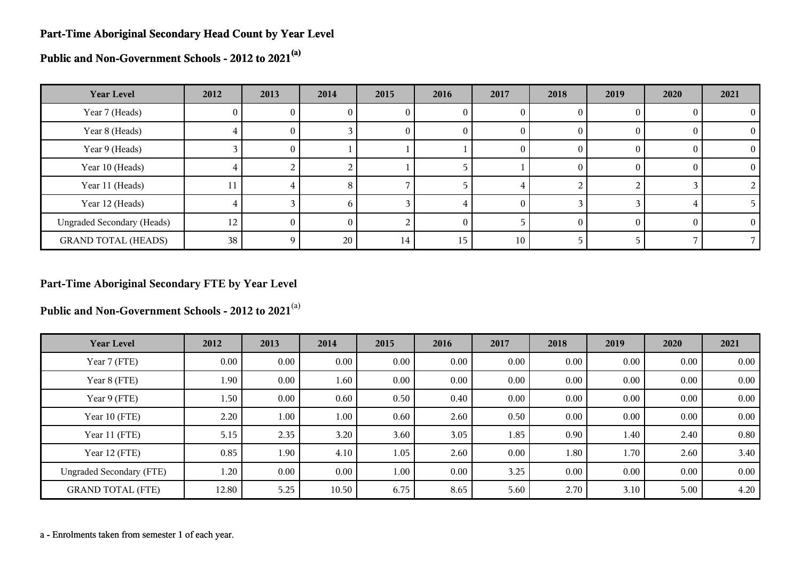#### **Part-Time Aboriginal Secondary Head Count by Year Level**

**Public and Non-Government Schools - 2012 to 2021(a)**

| <b>Year Level</b>                 | 2012 | 2013     | 2014            | 2015 | 2016     | 2017 | 2018 | 2019   | 2020 | 2021       |
|-----------------------------------|------|----------|-----------------|------|----------|------|------|--------|------|------------|
| Year 7 (Heads)                    | 0    | U.       |                 | U    | U        | U    |      |        |      | $^{\circ}$ |
| Year 8 (Heads)                    | ÷.   | 0        |                 | U    | U        | 0    |      | $_{0}$ |      | $\Omega$   |
| Year 9 (Heads)                    |      | $\theta$ |                 |      |          | 0    | 0    | $_{0}$ |      | $\Omega$   |
| Year 10 (Heads)                   |      |          |                 |      |          |      |      |        |      |            |
| Year 11 (Heads)                   | 11   |          | 8               |      |          |      |      |        |      |            |
| Year 12 (Heads)                   |      |          | h.              |      |          |      |      |        |      |            |
| <b>Ungraded Secondary (Heads)</b> | 12   | 0        | 0               |      | $\theta$ |      |      |        |      | $\theta$   |
| <b>GRAND TOTAL (HEADS)</b>        | 38   |          | 20 <sub>1</sub> | 14   | 15       | 10   |      |        |      |            |

# **Part-Time Aboriginal Secondary FTE by Year Level**

**Public and Non-Government Schools - 2012 to 2021**(a)

| <b>Year Level</b>               | 2012  | 2013     | 2014     | 2015 | 2016     | 2017 | 2018 | 2019     | 2020     | 2021 |
|---------------------------------|-------|----------|----------|------|----------|------|------|----------|----------|------|
| Year 7 (FTE)                    | 0.00  | $0.00\,$ | $0.00\,$ | 0.00 | 0.00     | 0.00 | 0.00 | 0.00     | 0.00     | 0.00 |
| Year 8 (FTE)                    | 1.90  | $0.00\,$ | 1.60     | 0.00 | 0.00     | 0.00 | 0.00 | 0.00     | 0.00     | 0.00 |
| Year 9 (FTE)                    | 1.50  | $0.00\,$ | 0.60     | 0.50 | 0.40     | 0.00 | 0.00 | 0.00     | 0.00     | 0.00 |
| Year 10 (FTE)                   | 2.20  | 1.00     | 1.00     | 0.60 | 2.60     | 0.50 | 0.00 | $0.00\,$ | 0.00     | 0.00 |
| Year 11 (FTE)                   | 5.15  | 2.35     | 3.20     | 3.60 | 3.05     | 1.85 | 0.90 | 1.40     | 2.40     | 0.80 |
| Year 12 (FTE)                   | 0.85  | 1.90     | 4.10     | 1.05 | 2.60     | 0.00 | 1.80 | 1.70     | 2.60     | 3.40 |
| <b>Ungraded Secondary (FTE)</b> | 1.20  | $0.00\,$ | $0.00\,$ | 1.00 | $0.00\,$ | 3.25 | 0.00 | $0.00\,$ | $0.00\,$ | 0.00 |
| <b>GRAND TOTAL (FTE)</b>        | 12.80 | 5.25     | 10.50    | 6.75 | 8.65     | 5.60 | 2.70 | 3.10     | 5.00     | 4.20 |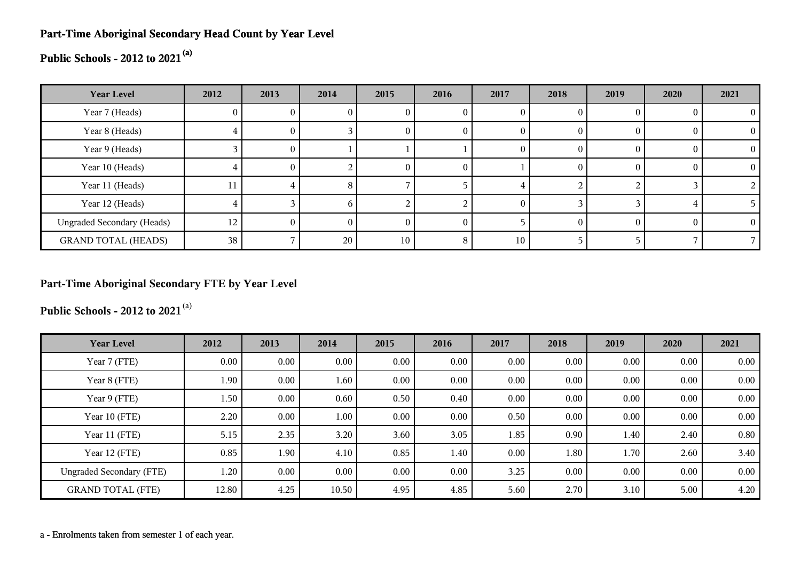# **Part-Time Aboriginal Secondary Head Count by Year Level**

# **Public Schools - 2012 to 2021(a)**

| <b>Year Level</b>                 | 2012 | 2013     | 2014 | 2015            | 2016 | 2017 | 2018     | 2019 | 2020     | 2021 |
|-----------------------------------|------|----------|------|-----------------|------|------|----------|------|----------|------|
| Year 7 (Heads)                    | U    |          |      | U               |      |      | 0        |      |          |      |
| Year 8 (Heads)                    | I.   | 0.       |      | 0               |      |      | $\theta$ |      | $\theta$ |      |
| Year 9 (Heads)                    |      | $\Omega$ |      |                 |      |      | $\theta$ |      | $\theta$ |      |
| Year 10 (Heads)                   |      | 0        |      | $\theta$        | U    |      | $\theta$ |      | $\theta$ |      |
| Year 11 (Heads)                   | 11   | 4        | 8    |                 |      |      |          |      |          |      |
| Year 12 (Heads)                   |      |          | h.   |                 |      |      |          |      |          |      |
| <b>Ungraded Secondary (Heads)</b> | 12   | $^{(1)}$ | 0    | 0               |      |      | $\theta$ |      | $\Omega$ |      |
| <b>GRAND TOTAL (HEADS)</b>        | 38   |          | 20   | 10 <sub>1</sub> | Ω    | 10   |          |      |          |      |

# **Part-Time Aboriginal Secondary FTE by Year Level**

**Public Schools - 2012 to 2021**(a)

| <b>Year Level</b>               | 2012     | 2013     | 2014  | 2015     | 2016 | 2017 | 2018 | 2019     | 2020 | 2021 |
|---------------------------------|----------|----------|-------|----------|------|------|------|----------|------|------|
| Year 7 (FTE)                    | $0.00\,$ | $0.00\,$ | 0.00  | $0.00\,$ | 0.00 | 0.00 | 0.00 | 0.00     | 0.00 | 0.00 |
| Year 8 (FTE)                    | 1.90     | $0.00\,$ | 1.60  | $0.00\,$ | 0.00 | 0.00 | 0.00 | 0.00     | 0.00 | 0.00 |
| Year 9 (FTE)                    | 1.50     | 0.00     | 0.60  | 0.50     | 0.40 | 0.00 | 0.00 | 0.00     | 0.00 | 0.00 |
| Year 10 (FTE)                   | 2.20     | $0.00\,$ | 1.00  | 0.00     | 0.00 | 0.50 | 0.00 | $0.00\,$ | 0.00 | 0.00 |
| Year 11 (FTE)                   | 5.15     | 2.35     | 3.20  | 3.60     | 3.05 | 1.85 | 0.90 | 1.40     | 2.40 | 0.80 |
| Year 12 (FTE)                   | 0.85     | 1.90     | 4.10  | 0.85     | 1.40 | 0.00 | 1.80 | 1.70     | 2.60 | 3.40 |
| <b>Ungraded Secondary (FTE)</b> | 1.20     | $0.00\,$ | 0.00  | 0.00     | 0.00 | 3.25 | 0.00 | 0.00     | 0.00 | 0.00 |
| <b>GRAND TOTAL (FTE)</b>        | 12.80    | 4.25     | 10.50 | 4.95     | 4.85 | 5.60 | 2.70 | 3.10     | 5.00 | 4.20 |

a - Enrolments taken from semester 1 of each year.